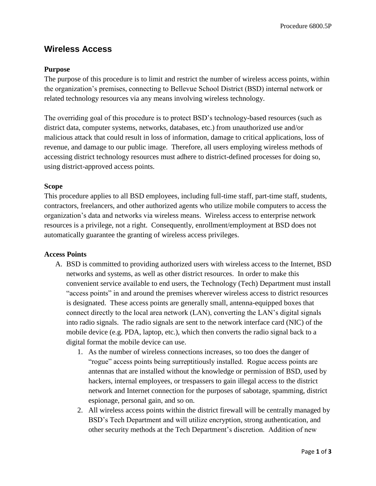# **Wireless Access**

# **Purpose**

The purpose of this procedure is to limit and restrict the number of wireless access points, within the organization's premises, connecting to Bellevue School District (BSD) internal network or related technology resources via any means involving wireless technology.

The overriding goal of this procedure is to protect BSD's technology-based resources (such as district data, computer systems, networks, databases, etc.) from unauthorized use and/or malicious attack that could result in loss of information, damage to critical applications, loss of revenue, and damage to our public image. Therefore, all users employing wireless methods of accessing district technology resources must adhere to district-defined processes for doing so, using district-approved access points.

### **Scope**

This procedure applies to all BSD employees, including full-time staff, part-time staff, students, contractors, freelancers, and other authorized agents who utilize mobile computers to access the organization's data and networks via wireless means. Wireless access to enterprise network resources is a privilege, not a right. Consequently, enrollment/employment at BSD does not automatically guarantee the granting of wireless access privileges.

#### **Access Points**

- A. BSD is committed to providing authorized users with wireless access to the Internet, BSD networks and systems, as well as other district resources. In order to make this convenient service available to end users, the Technology (Tech) Department must install "access points" in and around the premises wherever wireless access to district resources is designated. These access points are generally small, antenna-equipped boxes that connect directly to the local area network (LAN), converting the LAN's digital signals into radio signals. The radio signals are sent to the network interface card (NIC) of the mobile device (e.g. PDA, laptop, etc.), which then converts the radio signal back to a digital format the mobile device can use.
	- 1. As the number of wireless connections increases, so too does the danger of "rogue" access points being surreptitiously installed. Rogue access points are antennas that are installed without the knowledge or permission of BSD, used by hackers, internal employees, or trespassers to gain illegal access to the district network and Internet connection for the purposes of sabotage, spamming, district espionage, personal gain, and so on.
	- 2. All wireless access points within the district firewall will be centrally managed by BSD's Tech Department and will utilize encryption, strong authentication, and other security methods at the Tech Department's discretion. Addition of new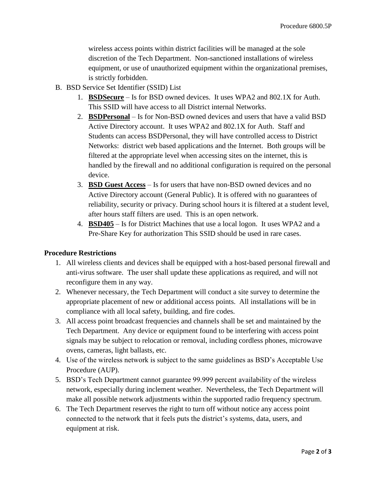wireless access points within district facilities will be managed at the sole discretion of the Tech Department. Non-sanctioned installations of wireless equipment, or use of unauthorized equipment within the organizational premises, is strictly forbidden.

- B. BSD Service Set Identifier (SSID) List
	- 1. **BSDSecure** Is for BSD owned devices. It uses WPA2 and 802.1X for Auth. This SSID will have access to all District internal Networks.
	- 2. **BSDPersonal** Is for Non-BSD owned devices and users that have a valid BSD Active Directory account. It uses WPA2 and 802.1X for Auth. Staff and Students can access BSDPersonal, they will have controlled access to District Networks: district web based applications and the Internet. Both groups will be filtered at the appropriate level when accessing sites on the internet, this is handled by the firewall and no additional configuration is required on the personal device.
	- 3. **BSD Guest Access** Is for users that have non-BSD owned devices and no Active Directory account (General Public). It is offered with no guarantees of reliability, security or privacy. During school hours it is filtered at a student level, after hours staff filters are used. This is an open network.
	- 4. **BSD405** Is for District Machines that use a local logon. It uses WPA2 and a Pre-Share Key for authorization This SSID should be used in rare cases.

# **Procedure Restrictions**

- 1. All wireless clients and devices shall be equipped with a host-based personal firewall and anti-virus software. The user shall update these applications as required, and will not reconfigure them in any way.
- 2. Whenever necessary, the Tech Department will conduct a site survey to determine the appropriate placement of new or additional access points. All installations will be in compliance with all local safety, building, and fire codes.
- 3. All access point broadcast frequencies and channels shall be set and maintained by the Tech Department. Any device or equipment found to be interfering with access point signals may be subject to relocation or removal, including cordless phones, microwave ovens, cameras, light ballasts, etc.
- 4. Use of the wireless network is subject to the same guidelines as BSD's Acceptable Use Procedure (AUP).
- 5. BSD's Tech Department cannot guarantee 99.999 percent availability of the wireless network, especially during inclement weather. Nevertheless, the Tech Department will make all possible network adjustments within the supported radio frequency spectrum.
- 6. The Tech Department reserves the right to turn off without notice any access point connected to the network that it feels puts the district's systems, data, users, and equipment at risk.